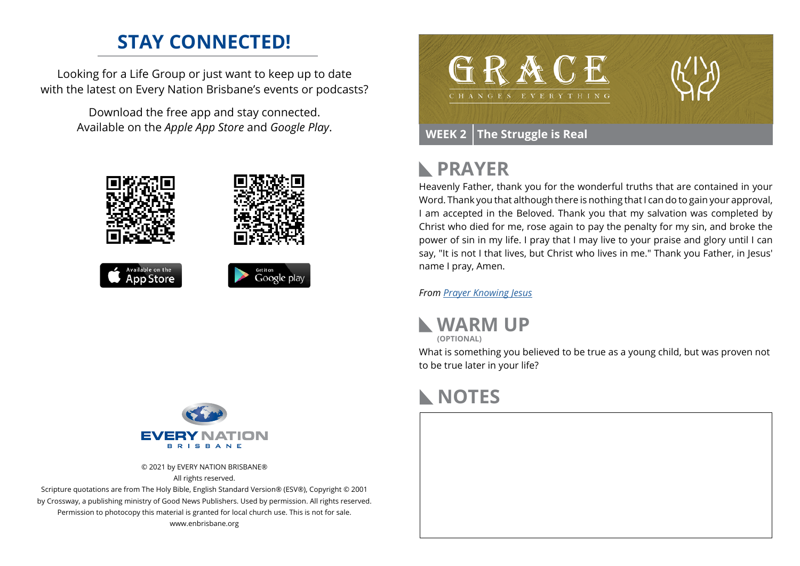### **STAY CONNECTED!**

Looking for a Life Group or just want to keep up to date with the latest on Every Nation Brisbane's events or podcasts?

> Download the free app and stay connected. Available on the *Apple App Store* and *Google Play*.





© 2021 by EVERY NATION BRISBANE® All rights reserved.

Scripture quotations are from The Holy Bible, English Standard Version® (ESV®), Copyright © 2001 by Crossway, a publishing ministry of Good News Publishers. Used by permission. All rights reserved. Permission to photocopy this material is granted for local church use. This is not for sale. www.enbrisbane.org



## **PRAYER**

Heavenly Father, thank you for the wonderful truths that are contained in your Word. Thank you that although there is nothing that I can do to gain your approval, I am accepted in the Beloved. Thank you that my salvation was completed by Christ who died for me, rose again to pay the penalty for my sin, and broke the power of sin in my life. I pray that I may live to your praise and glory until I can say, "It is not I that lives, but Christ who lives in me." Thank you Father, in Jesus' name I pray, Amen.

*From [Prayer](https://prayer.knowing-jesus.com/Romans/6) Knowing Jesus*



**(OPTIONAL)**

What is something you believed to be true as a young child, but was proven not to be true later in your life?

## **NOTES**